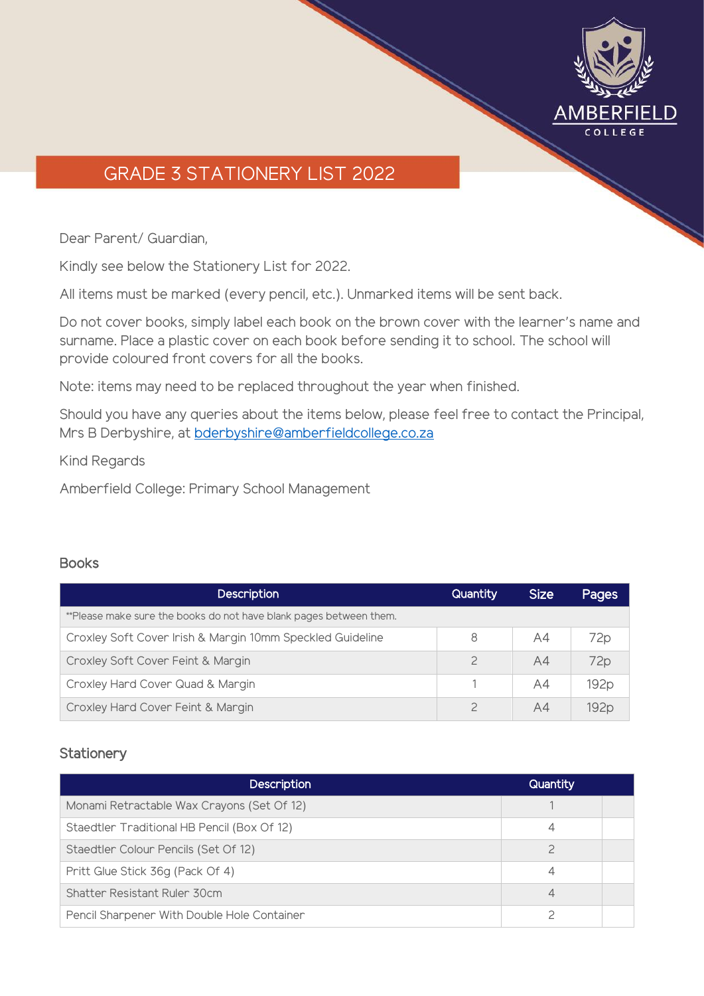

# GRADE 3 STATIONERY LIST 2022

Dear Parent/ Guardian,

Kindly see below the Stationery List for 2022.

All items must be marked (every pencil, etc.). Unmarked items will be sent back.

Do not cover books, simply label each book on the brown cover with the learner's name and surname. Place a plastic cover on each book before sending it to school. The school will provide coloured front covers for all the books.

Note: items may need to be replaced throughout the year when finished.

Should you have any queries about the items below, please feel free to contact the Principal, Mrs B Derbyshire, at [bderbyshire@amberfieldcollege.co.za](mailto:bderbyshire@amberfieldcollege.co.za)

Kind Regards

Amberfield College: Primary School Management

#### **Books**

| <b>Description</b>                                                 | Quantity      | <b>Size</b> | <b>Pages</b>     |
|--------------------------------------------------------------------|---------------|-------------|------------------|
| **Please make sure the books do not have blank pages between them. |               |             |                  |
| Croxley Soft Cover Irish & Margin 10mm Speckled Guideline          | 8             | A4          | 72p              |
| Croxley Soft Cover Feint & Margin                                  | $\mathcal{P}$ | A4          | 72 <sub>p</sub>  |
| Croxley Hard Cover Quad & Margin                                   |               | A4          | 192 <sub>p</sub> |
| Croxley Hard Cover Feint & Margin                                  | $\mathcal{P}$ | A4          | 192,             |

#### **Stationery**

| <b>Description</b>                          | <b>Quantity</b> |  |
|---------------------------------------------|-----------------|--|
| Monami Retractable Wax Crayons (Set Of 12)  |                 |  |
| Staedtler Traditional HB Pencil (Box Of 12) |                 |  |
| Staedtler Colour Pencils (Set Of 12)        | っ               |  |
| Pritt Glue Stick 36g (Pack Of 4)            | 4               |  |
| Shatter Resistant Ruler 30cm                | 4               |  |
| Pencil Sharpener With Double Hole Container |                 |  |